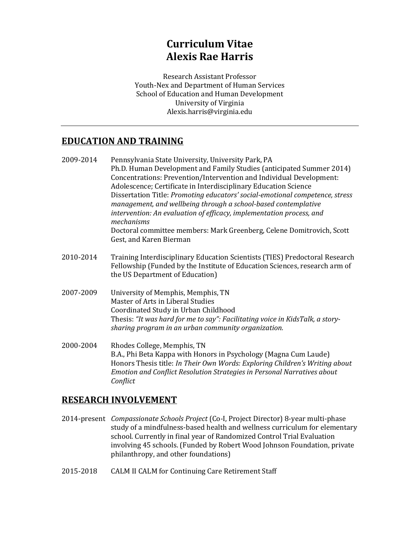# **Curriculum Vitae Alexis Rae Harris**

Research Assistant Professor Youth-Nex and Department of Human Services School of Education and Human Development University of Virginia Alexis.harris@virginia.edu

## **EDUCATION AND TRAINING**

- 2009-2014 Pennsylvania State University, University Park, PA Ph.D. Human Development and Family Studies (anticipated Summer 2014) Concentrations: Prevention/Intervention and Individual Development: Adolescence; Certificate in Interdisciplinary Education Science Dissertation Title: *Promoting educators' social-emotional competence, stress management, and wellbeing through a school-based contemplative* intervention: An evaluation of efficacy, implementation process, and *mechanisms* Doctoral committee members: Mark Greenberg, Celene Domitrovich, Scott Gest, and Karen Bierman
- 2010-2014 Training Interdisciplinary Education Scientists (TIES) Predoctoral Research Fellowship (Funded by the Institute of Education Sciences, research arm of the US Department of Education)
- 2007-2009 University of Memphis, Memphis, TN Master of Arts in Liberal Studies Coordinated Study in Urban Childhood Thesis: "It was hard for me to say": Facilitating voice in KidsTalk, a storysharing program in an urban community organization.
- 2000-2004 Rhodes College, Memphis, TN B.A., Phi Beta Kappa with Honors in Psychology (Magna Cum Laude) Honors Thesis title: *In Their Own Words: Exploring Children's Writing about Emotion and Conflict Resolution Strategies in Personal Narratives about Conflict*

## **RESEARCH INVOLVEMENT**

- 2014-present *Compassionate Schools Project* (Co-I, Project Director) 8-year multi-phase study of a mindfulness-based health and wellness curriculum for elementary school. Currently in final year of Randomized Control Trial Evaluation involving 45 schools. (Funded by Robert Wood Johnson Foundation, private philanthropy, and other foundations)
- 2015-2018 CALM II CALM for Continuing Care Retirement Staff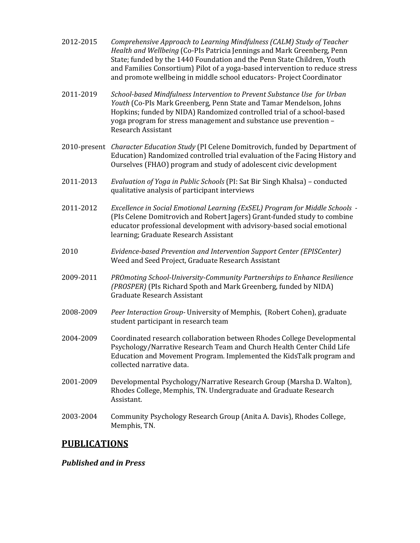| 2012-2015 | Comprehensive Approach to Learning Mindfulness (CALM) Study of Teacher<br>Health and Wellbeing (Co-PIs Patricia Jennings and Mark Greenberg, Penn<br>State; funded by the 1440 Foundation and the Penn State Children, Youth<br>and Families Consortium) Pilot of a yoga-based intervention to reduce stress<br>and promote wellbeing in middle school educators- Project Coordinator |
|-----------|---------------------------------------------------------------------------------------------------------------------------------------------------------------------------------------------------------------------------------------------------------------------------------------------------------------------------------------------------------------------------------------|
| 2011-2019 | School-based Mindfulness Intervention to Prevent Substance Use for Urban<br>Youth (Co-PIs Mark Greenberg, Penn State and Tamar Mendelson, Johns<br>Hopkins; funded by NIDA) Randomized controlled trial of a school-based<br>yoga program for stress management and substance use prevention -<br><b>Research Assistant</b>                                                           |
|           | 2010-present Character Education Study (PI Celene Domitrovich, funded by Department of<br>Education) Randomized controlled trial evaluation of the Facing History and<br>Ourselves (FHAO) program and study of adolescent civic development                                                                                                                                           |
| 2011-2013 | Evaluation of Yoga in Public Schools (PI: Sat Bir Singh Khalsa) - conducted<br>qualitative analysis of participant interviews                                                                                                                                                                                                                                                         |
| 2011-2012 | Excellence in Social Emotional Learning (ExSEL) Program for Middle Schools -<br>(PIs Celene Domitrovich and Robert Jagers) Grant-funded study to combine<br>educator professional development with advisory-based social emotional<br>learning; Graduate Research Assistant                                                                                                           |
| 2010      | Evidence-based Prevention and Intervention Support Center (EPISCenter)<br>Weed and Seed Project, Graduate Research Assistant                                                                                                                                                                                                                                                          |
| 2009-2011 | PROmoting School-University-Community Partnerships to Enhance Resilience<br>(PROSPER) (PIs Richard Spoth and Mark Greenberg, funded by NIDA)<br><b>Graduate Research Assistant</b>                                                                                                                                                                                                    |
| 2008-2009 | Peer Interaction Group- University of Memphis, (Robert Cohen), graduate<br>student participant in research team                                                                                                                                                                                                                                                                       |
| 2004-2009 | Coordinated research collaboration between Rhodes College Developmental<br>Psychology/Narrative Research Team and Church Health Center Child Life<br>Education and Movement Program. Implemented the KidsTalk program and<br>collected narrative data.                                                                                                                                |

- 2001-2009 Developmental Psychology/Narrative Research Group (Marsha D. Walton), Rhodes College, Memphis, TN. Undergraduate and Graduate Research Assistant.
- 2003-2004 Community Psychology Research Group (Anita A. Davis), Rhodes College, Memphis, TN.

## **PUBLICATIONS**

### *Published and in Press*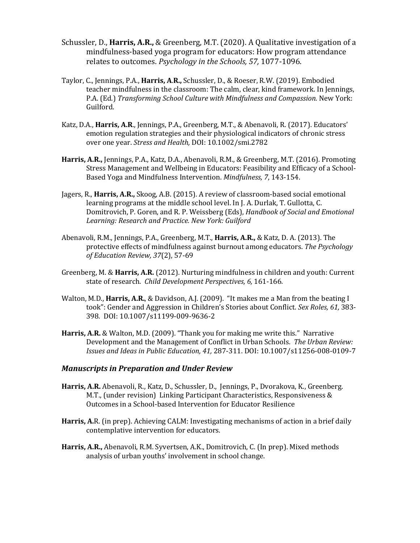- Schussler, D., **Harris, A.R.,** & Greenberg, M.T. (2020). A Qualitative investigation of a mindfulness-based yoga program for educators: How program attendance relates to outcomes. *Psychology in the Schools, 57, 1077-1096.*
- Taylor, C., Jennings, P.A., **Harris, A.R.,** Schussler, D., & Roeser, R.W. (2019). Embodied teacher mindfulness in the classroom: The calm, clear, kind framework. In Jennings, P.A. (Ed.) Transforming School Culture with Mindfulness and Compassion. New York: Guilford.
- Katz, D.A., Harris, A.R., Jennings, P.A., Greenberg, M.T., & Abenavoli, R. (2017). Educators' emotion regulation strategies and their physiological indicators of chronic stress over one year. *Stress and Health*, DOI: 10.1002/smi.2782
- **Harris, A.R.,** Jennings, P.A., Katz, D.A., Abenavoli, R.M., & Greenberg, M.T. (2016). Promoting Stress Management and Wellbeing in Educators: Feasibility and Efficacy of a School-Based Yoga and Mindfulness Intervention. *Mindfulness*, 7, 143-154.
- Jagers, R., **Harris, A.R.,** Skoog, A.B. (2015). A review of classroom-based social emotional learning programs at the middle school level. In J. A. Durlak, T. Gullotta, C. Domitrovich, P. Goren, and R. P. Weissberg (Eds), *Handbook of Social and Emotional Learning: Research and Practice. New York: Guilford*
- Abenavoli, R.M., Jennings, P.A., Greenberg, M.T., Harris, A.R., & Katz, D. A. (2013). The protective effects of mindfulness against burnout among educators. *The Psychology of Education Review, 37*(2), 57-69
- Greenberg, M. & **Harris, A.R.** (2012). Nurturing mindfulness in children and youth: Current state of research. *Child Development Perspectives*, 6, 161-166.
- Walton, M.D., **Harris, A.R.**, & Davidson, A.J. (2009). "It makes me a Man from the beating I took": Gender and Aggression in Children's Stories about Conflict. Sex Roles, 61, 383-398*.*  DOI: 10.1007/s11199-009-9636-2
- **Harris, A.R.** & Walton, M.D. (2009). "Thank you for making me write this." Narrative Development and the Management of Conflict in Urban Schools. *The Urban Review: Issues and Ideas in Public Education, 41, 287-311. DOI: 10.1007/s11256-008-0109-7*

#### *Manuscripts in Preparation and Under Review*

- Harris, A.R. Abenavoli, R., Katz, D., Schussler, D., Jennings, P., Dvorakova, K., Greenberg. M.T., (under revision) Linking Participant Characteristics, Responsiveness & Outcomes in a School-based Intervention for Educator Resilience
- **Harris, A.**R. (in prep). Achieving CALM: Investigating mechanisms of action in a brief daily contemplative intervention for educators.
- **Harris, A.R.,** Abenavoli, R.M. Syvertsen, A.K., Domitrovich, C. (In prep). Mixed methods analysis of urban youths' involvement in school change.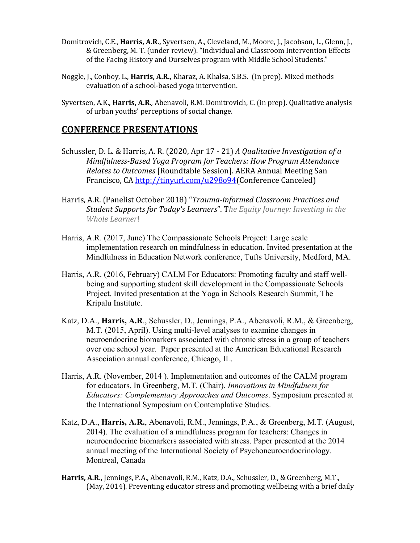- Domitrovich, C.E., **Harris, A.R.,** Syvertsen, A., Cleveland, M., Moore, J., Jacobson, L., Glenn, J., & Greenberg, M. T. (under review). "Individual and Classroom Intervention Effects of the Facing History and Ourselves program with Middle School Students."
- Noggle, J., Conboy, L., **Harris, A.R.,** Kharaz, A. Khalsa, S.B.S. (In prep). Mixed methods evaluation of a school-based yoga intervention.
- Syvertsen, A.K., **Harris, A.R.**, Abenavoli, R.M. Domitrovich, C. (in prep). Qualitative analysis of urban youths' perceptions of social change.

## **CONFERENCE PRESENTATIONS**

- Schussler, D. L. & Harris, A. R. (2020, Apr 17 21) *A Qualitative Investigation of a Mindfulness-Based Yoga Program for Teachers: How Program Attendance Relates to Outcomes* [Roundtable Session]. AERA Annual Meeting San Francisco, CA http://tinyurl.com/u298o94(Conference Canceled)
- Harris, A.R. (Panelist October 2018) "Trauma-informed Classroom Practices and *Student Supports for Today's Learners***".** The Equity Journey: Investing in the *Whole Learner*!
- Harris, A.R. (2017, June) The Compassionate Schools Project: Large scale implementation research on mindfulness in education. Invited presentation at the Mindfulness in Education Network conference, Tufts University, Medford, MA.
- Harris, A.R. (2016, February) CALM For Educators: Promoting faculty and staff wellbeing and supporting student skill development in the Compassionate Schools Project. Invited presentation at the Yoga in Schools Research Summit, The Kripalu Institute.
- Katz, D.A., **Harris, A.R**., Schussler, D., Jennings, P.A., Abenavoli, R.M., & Greenberg, M.T. (2015, April). Using multi-level analyses to examine changes in neuroendocrine biomarkers associated with chronic stress in a group of teachers over one school year. Paper presented at the American Educational Research Association annual conference, Chicago, IL.
- Harris, A.R. (November, 2014 ). Implementation and outcomes of the CALM program for educators. In Greenberg, M.T. (Chair). *Innovations in Mindfulness for Educators: Complementary Approaches and Outcomes*. Symposium presented at the International Symposium on Contemplative Studies.
- Katz, D.A., **Harris, A.R.**, Abenavoli, R.M., Jennings, P.A., & Greenberg, M.T. (August, 2014). The evaluation of a mindfulness program for teachers: Changes in neuroendocrine biomarkers associated with stress. Paper presented at the 2014 annual meeting of the International Society of Psychoneuroendocrinology. Montreal, Canada
- **Harris, A.R.,** Jennings, P.A., Abenavoli, R.M., Katz, D.A., Schussler, D., & Greenberg, M.T., (May, 2014). Preventing educator stress and promoting wellbeing with a brief daily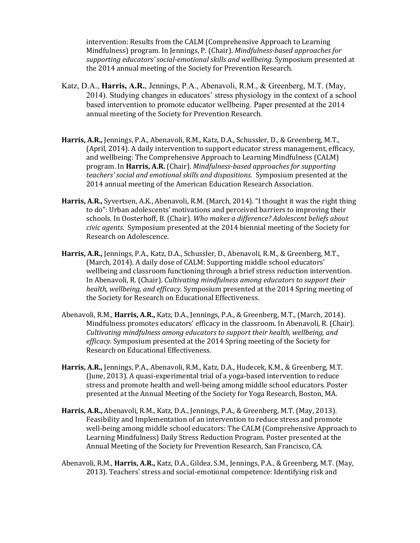intervention: Results from the CALM (Comprehensive Approach to Learning Mindfulness) program. In Jennings, P. (Chair). *Mindfulness-based approaches for* supporting educators' social-emotional skills and wellbeing. Symposium presented at the 2014 annual meeting of the Society for Prevention Research.

- Katz, D.A., **Harris, A.R.**, Jennings, P.A., Abenavoli, R.M., & Greenberg, M.T. (May, 2014). Studying changes in educators' stress physiology in the context of a school based intervention to promote educator wellbeing. Paper presented at the 2014 annual meeting of the Society for Prevention Research.
- **Harris, A.R.,** Jennings, P.A., Abenavoli, R.M., Katz, D.A., Schussler, D., & Greenberg, M.T., (April, 2014). A daily intervention to support educator stress management, efficacy, and wellbeing: The Comprehensive Approach to Learning Mindfulness (CALM) program. In **Harris, A.R.** (Chair). *Mindfulness-based approaches for supporting teachers' social and emotional skills and dispositions.*  Symposium presented at the 2014 annual meeting of the American Education Research Association.
- **Harris, A.R.,** Syvertsen, A.K., Abenavoli, R.M. (March, 2014). "I thought it was the right thing to do": Urban adolescents' motivations and perceived barriers to improving their schools. In Oosterhoff, B. (Chair). Who makes a difference? Adolescent beliefs about *civic agents.* Symposium presented at the 2014 biennial meeting of the Society for Research on Adolescence.
- Harris, A.R., Jennings, P.A., Katz, D.A., Schussler, D., Abenavoli, R.M., & Greenberg, M.T., (March, 2014). A daily dose of CALM: Supporting middle school educators' wellbeing and classroom functioning through a brief stress reduction intervention. In Abenavoli, R. (Chair). *Cultivating mindfulness among educators to support their health, wellbeing, and efficacy.* Symposium presented at the 2014 Spring meeting of the Society for Research on Educational Effectiveness.
- Abenavoli, R.M., Harris, A.R., Katz, D.A., Jennings, P.A., & Greenberg, M.T., (March, 2014). Mindfulness promotes educators' efficacy in the classroom. In Abenavoli, R. (Chair). *Cultivating mindfulness among educators to support their health, wellbeing, and efficacy*. Symposium presented at the 2014 Spring meeting of the Society for Research on Educational Effectiveness.
- **Harris, A.R.,** Jennings, P.A., Abenavoli, R.M., Katz, D.A., Hudecek, K.M., & Greenberg, M.T. (June, 2013). A quasi-experimental trial of a yoga-based intervention to reduce stress and promote health and well-being among middle school educators. Poster presented at the Annual Meeting of the Society for Yoga Research, Boston, MA.
- Harris, A.R., Abenavoli, R.M., Katz, D.A., Jennings, P.A., & Greenberg, M.T. (May, 2013). Feasibility and Implementation of an intervention to reduce stress and promote well-being among middle school educators: The CALM (Comprehensive Approach to Learning Mindfulness) Daily Stress Reduction Program. Poster presented at the Annual Meeting of the Society for Prevention Research, San Francisco, CA.
- Abenavoli, R.M., **Harris, A.R.,** Katz, D.A., Gildea, S.M., Jennings, P.A., & Greenberg, M.T. (May, 2013). Teachers' stress and social-emotional competence: Identifying risk and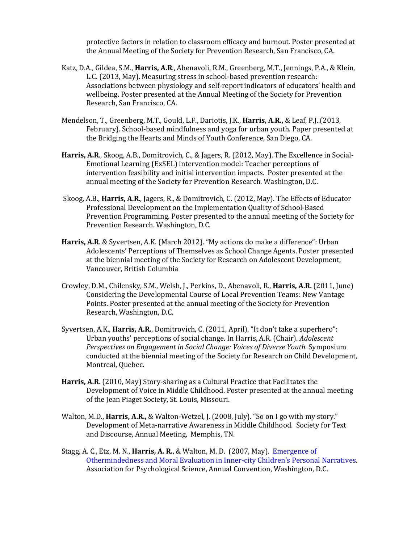protective factors in relation to classroom efficacy and burnout. Poster presented at the Annual Meeting of the Society for Prevention Research, San Francisco, CA.

- Katz, D.A., Gildea, S.M., **Harris, A.R.**, Abenavoli, R.M., Greenberg, M.T., Jennings, P.A., & Klein, L.C. (2013, May). Measuring stress in school-based prevention research: Associations between physiology and self-report indicators of educators' health and wellbeing. Poster presented at the Annual Meeting of the Society for Prevention Research, San Francisco, CA.
- Mendelson, T., Greenberg, M.T., Gould, L.F., Dariotis, J.K., Harris, A.R., & Leaf, P.J..(2013, February). School-based mindfulness and yoga for urban youth. Paper presented at the Bridging the Hearts and Minds of Youth Conference, San Diego, CA.
- Harris, A.R., Skoog, A.B., Domitrovich, C., & Jagers, R. (2012, May). The Excellence in Social-Emotional Learning (ExSEL) intervention model: Teacher perceptions of intervention feasibility and initial intervention impacts. Poster presented at the annual meeting of the Society for Prevention Research. Washington, D.C.
- Skoog, A.B., **Harris, A.R.**, Jagers, R., & Domitrovich, C. (2012, May). The Effects of Educator Professional Development on the Implementation Quality of School-Based Prevention Programming. Poster presented to the annual meeting of the Society for Prevention Research. Washington, D.C.
- **Harris, A.R.** & Syvertsen, A.K. (March 2012). "My actions do make a difference": Urban Adolescents' Perceptions of Themselves as School Change Agents. Poster presented at the biennial meeting of the Society for Research on Adolescent Development, Vancouver, British Columbia
- Crowley, D.M., Chilensky, S.M., Welsh, J., Perkins, D., Abenavoli, R., **Harris, A.R.** (2011, June) Considering the Developmental Course of Local Prevention Teams: New Vantage Points. Poster presented at the annual meeting of the Society for Prevention Research, Washington, D.C.
- Syvertsen, A.K., **Harris, A.R.**, Domitrovich, C. (2011, April). "It don't take a superhero": Urban youths' perceptions of social change. In Harris, A.R. (Chair). *Adolescent Perspectives on Engagement in Social Change: Voices of Diverse Youth.* Symposium conducted at the biennial meeting of the Society for Research on Child Development, Montreal, Quebec.
- **Harris, A.R.** (2010, May) Story-sharing as a Cultural Practice that Facilitates the Development of Voice in Middle Childhood. Poster presented at the annual meeting of the Jean Piaget Society, St. Louis, Missouri.
- Walton, M.D., Harris, A.R., & Walton-Wetzel, J. (2008, July). "So on I go with my story." Development of Meta-narrative Awareness in Middle Childhood. Society for Text and Discourse, Annual Meeting, Memphis, TN.
- Stagg, A. C., Etz, M. N., **Harris, A. R.**, & Walton, M. D. (2007, May). *Emergence of* Othermindedness and Moral Evaluation in Inner-city Children's Personal Narratives. Association for Psychological Science, Annual Convention, Washington, D.C.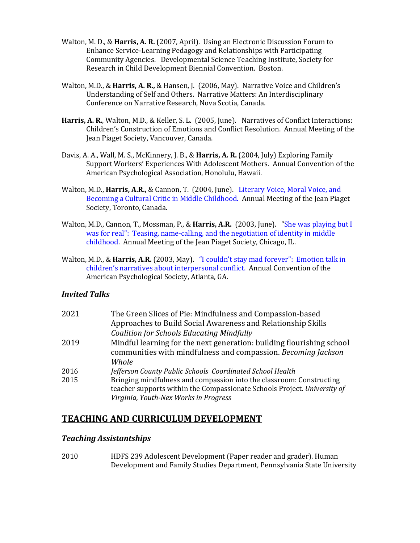- Walton, M. D., & **Harris, A. R.** (2007, April). Using an Electronic Discussion Forum to Enhance Service-Learning Pedagogy and Relationships with Participating Community Agencies. Developmental Science Teaching Institute, Society for Research in Child Development Biennial Convention. Boston.
- Walton, M.D., & **Harris, A. R.,** & Hansen, J. (2006, May). Narrative Voice and Children's Understanding of Self and Others. Narrative Matters: An Interdisciplinary Conference on Narrative Research, Nova Scotia, Canada.
- Harris, A. R., Walton, M.D., & Keller, S. L. (2005, June). Narratives of Conflict Interactions: Children's Construction of Emotions and Conflict Resolution. Annual Meeting of the Jean Piaget Society, Vancouver, Canada.
- Davis, A. A., Wall, M. S., McKinnery, J. B., & **Harris, A. R.** (2004, July) Exploring Family Support Workers' Experiences With Adolescent Mothers. Annual Convention of the American Psychological Association, Honolulu, Hawaii.
- Walton, M.D., **Harris, A.R.,** & Cannon, T. (2004, June). Literary Voice, Moral Voice, and Becoming a Cultural Critic in Middle Childhood. Annual Meeting of the Jean Piaget Society, Toronto, Canada.
- Walton, M.D., Cannon, T., Mossman, P., & **Harris, A.R.** (2003, June). *"She was playing but I* was for real": Teasing, name-calling, and the negotiation of identity in middle childhood. Annual Meeting of the Jean Piaget Society, Chicago, IL.
- Walton, M.D., & **Harris, A.R.** (2003, May). "I couldn't stay mad forever": Emotion talk in children's narratives about interpersonal conflict. Annual Convention of the American Psychological Society, Atlanta, GA.

### *Invited Talks*

| 2021 | The Green Slices of Pie: Mindfulness and Compassion-based                |
|------|--------------------------------------------------------------------------|
|      | Approaches to Build Social Awareness and Relationship Skills             |
|      | <b>Coalition for Schools Educating Mindfully</b>                         |
| 2019 | Mindful learning for the next generation: building flourishing school    |
|      | communities with mindfulness and compassion. Becoming Jackson            |
|      | Whole                                                                    |
| 2016 | Jefferson County Public Schools Coordinated School Health                |
| 2015 | Bringing mindfulness and compassion into the classroom: Constructing     |
|      | teacher supports within the Compassionate Schools Project. University of |
|      | Virginia, Youth-Nex Works in Progress                                    |

## **TEACHING AND CURRICULUM DEVELOPMENT**

#### *Teaching Assistantships*

2010 HDFS 239 Adolescent Development (Paper reader and grader). Human Development and Family Studies Department, Pennsylvania State University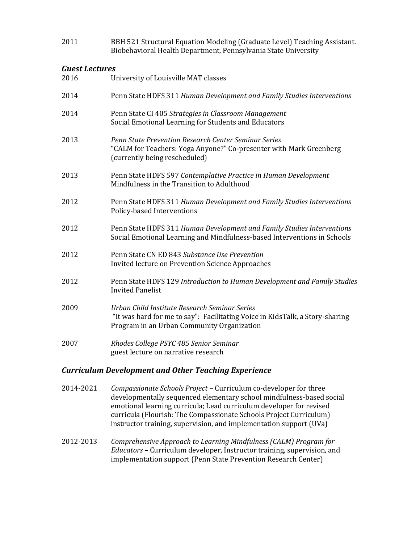2011 BBH 521 Structural Equation Modeling (Graduate Level) Teaching Assistant. Biobehavioral Health Department, Pennsylvania State University

#### *Guest Lectures*

| 2016 | University of Louisville MAT classes                                                                                                                                        |
|------|-----------------------------------------------------------------------------------------------------------------------------------------------------------------------------|
| 2014 | Penn State HDFS 311 Human Development and Family Studies Interventions                                                                                                      |
| 2014 | Penn State CI 405 Strategies in Classroom Management<br>Social Emotional Learning for Students and Educators                                                                |
| 2013 | Penn State Prevention Research Center Seminar Series<br>"CALM for Teachers: Yoga Anyone?" Co-presenter with Mark Greenberg<br>(currently being rescheduled)                 |
| 2013 | Penn State HDFS 597 Contemplative Practice in Human Development<br>Mindfulness in the Transition to Adulthood                                                               |
| 2012 | Penn State HDFS 311 Human Development and Family Studies Interventions<br>Policy-based Interventions                                                                        |
| 2012 | Penn State HDFS 311 Human Development and Family Studies Interventions<br>Social Emotional Learning and Mindfulness-based Interventions in Schools                          |
| 2012 | Penn State CN ED 843 Substance Use Prevention<br>Invited lecture on Prevention Science Approaches                                                                           |
| 2012 | Penn State HDFS 129 Introduction to Human Development and Family Studies<br><b>Invited Panelist</b>                                                                         |
| 2009 | Urban Child Institute Research Seminar Series<br>"It was hard for me to say": Facilitating Voice in KidsTalk, a Story-sharing<br>Program in an Urban Community Organization |
| 2007 | Rhodes College PSYC 485 Senior Seminar<br>guest lecture on narrative research                                                                                               |
|      |                                                                                                                                                                             |

### *Curriculum Development and Other Teaching Experience*

- 2014-2021 *Compassionate Schools Project* Curriculum co-developer for three developmentally sequenced elementary school mindfulness-based social emotional learning curricula; Lead curriculum developer for revised curricula (Flourish: The Compassionate Schools Project Curriculum)  $instructor$  training, supervision, and implementation support  $(UVa)$
- 2012-2013 *Comprehensive Approach to Learning Mindfulness (CALM) Program for Educators* – Curriculum developer, Instructor training, supervision, and implementation support (Penn State Prevention Research Center)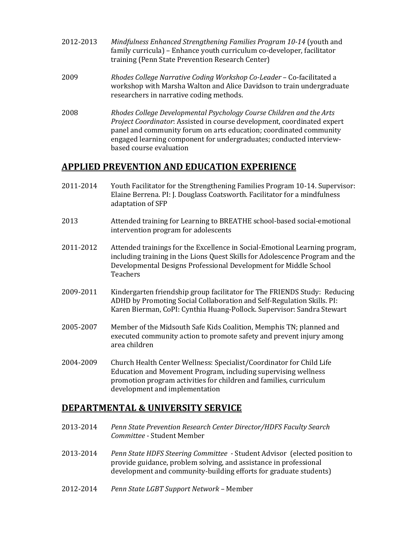- 2012-2013 Mindfulness Enhanced Strengthening Families Program 10-14 (youth and family curricula) – Enhance youth curriculum co-developer, facilitator training (Penn State Prevention Research Center)
- 2009 **Rhodes College Narrative Coding Workshop Co-Leader Co-facilitated a** workshop with Marsha Walton and Alice Davidson to train undergraduate researchers in narrative coding methods.
- 2008 Rhodes College Developmental Psychology Course Children and the Arts *Project Coordinator:* Assisted in course development, coordinated expert panel and community forum on arts education; coordinated community engaged learning component for undergraduates; conducted interviewbased course evaluation

### **APPLIED PREVENTION AND EDUCATION EXPERIENCE**

- 2011-2014 Youth Facilitator for the Strengthening Families Program 10-14. Supervisor: Elaine Berrena. PI: J. Douglass Coatsworth. Facilitator for a mindfulness adaptation of SFP
- 2013 **Attended training for Learning to BREATHE** school-based social-emotional intervention program for adolescents
- 2011-2012 Attended trainings for the Excellence in Social-Emotional Learning program, including training in the Lions Quest Skills for Adolescence Program and the Developmental Designs Professional Development for Middle School Teachers
- 2009-2011 Kindergarten friendship group facilitator for The FRIENDS Study: Reducing ADHD by Promoting Social Collaboration and Self-Regulation Skills. PI: Karen Bierman, CoPI: Cynthia Huang-Pollock. Supervisor: Sandra Stewart
- 2005-2007 Member of the Midsouth Safe Kids Coalition, Memphis TN; planned and executed community action to promote safety and prevent injury among area children
- 2004-2009 Church Health Center Wellness: Specialist/Coordinator for Child Life Education and Movement Program, including supervising wellness promotion program activities for children and families, curriculum development and implementation

### **DEPARTMENTAL & UNIVERSITY SERVICE**

- 2013-2014 Penn State Prevention Research Center Director/HDFS Faculty Search *Committee* - Student Member
- 2013-2014 *Penn State HDFS Steering Committee* Student Advisor (elected position to provide guidance, problem solving, and assistance in professional development and community-building efforts for graduate students)
- 2012-2014 Penn State LGBT Support Network Member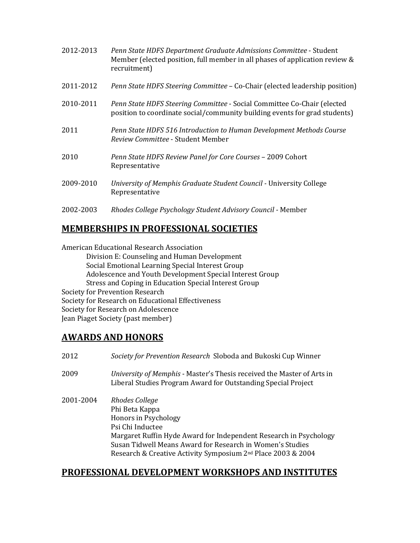| 2012-2013 | Penn State HDFS Department Graduate Admissions Committee - Student<br>Member (elected position, full member in all phases of application review &<br>recruitment) |
|-----------|-------------------------------------------------------------------------------------------------------------------------------------------------------------------|
| 2011-2012 | Penn State HDFS Steering Committee - Co-Chair (elected leadership position)                                                                                       |
| 2010-2011 | Penn State HDFS Steering Committee - Social Committee Co-Chair (elected<br>position to coordinate social/community building events for grad students)             |
| 2011      | Penn State HDFS 516 Introduction to Human Development Methods Course<br><i>Review Committee - Student Member</i>                                                  |
| 2010      | Penn State HDFS Review Panel for Core Courses - 2009 Cohort<br>Representative                                                                                     |
| 2009-2010 | University of Memphis Graduate Student Council - University College<br>Representative                                                                             |
| 2002-2003 | Rhodes College Psychology Student Advisory Council - Member                                                                                                       |

## **MEMBERSHIPS IN PROFESSIONAL SOCIETIES**

American Educational Research Association Division E: Counseling and Human Development Social Emotional Learning Special Interest Group Adolescence and Youth Development Special Interest Group Stress and Coping in Education Special Interest Group Society for Prevention Research Society for Research on Educational Effectiveness Society for Research on Adolescence Jean Piaget Society (past member)

## **AWARDS AND HONORS**

| 2012      | Society for Prevention Research Sloboda and Bukoski Cup Winner                                                                                                                                                                                                                             |
|-----------|--------------------------------------------------------------------------------------------------------------------------------------------------------------------------------------------------------------------------------------------------------------------------------------------|
| 2009      | University of Memphis - Master's Thesis received the Master of Arts in<br>Liberal Studies Program Award for Outstanding Special Project                                                                                                                                                    |
| 2001-2004 | Rhodes College<br>Phi Beta Kappa<br>Honors in Psychology<br>Psi Chi Inductee<br>Margaret Ruffin Hyde Award for Independent Research in Psychology<br>Susan Tidwell Means Award for Research in Women's Studies<br>Research & Creative Activity Symposium 2 <sup>nd</sup> Place 2003 & 2004 |

## **PROFESSIONAL DEVELOPMENT WORKSHOPS AND INSTITUTES**